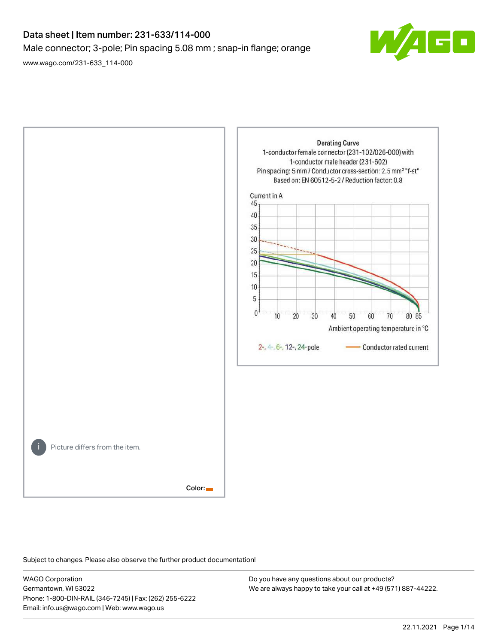## Data sheet | Item number: 231-633/114-000 Male connector; 3-pole; Pin spacing 5.08 mm ; snap-in flange; orange

[www.wago.com/231-633\\_114-000](http://www.wago.com/231-633_114-000)





Subject to changes. Please also observe the further product documentation!

WAGO Corporation Germantown, WI 53022 Phone: 1-800-DIN-RAIL (346-7245) | Fax: (262) 255-6222 Email: info.us@wago.com | Web: www.wago.us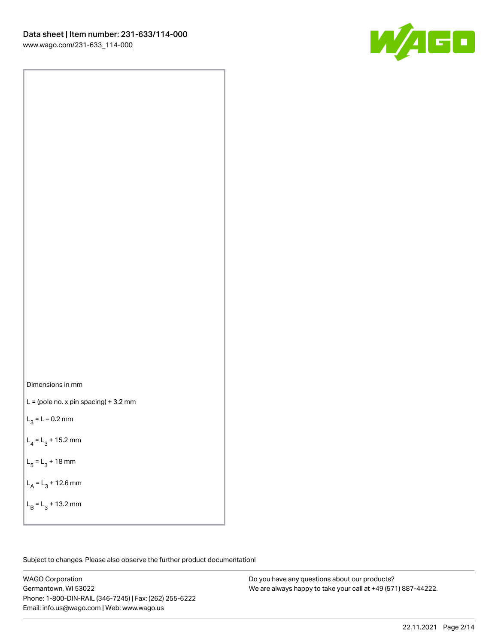

Dimensions in mm

 $L =$  (pole no. x pin spacing) + 3.2 mm

 $L_3 = L - 0.2$  mm

 $L_4 = L_3 + 15.2$  mm

 $L_5 = L_3 + 18$  mm

 $L_A = L_3 + 12.6$  mm

 $L_B = L_3 + 13.2$  mm

Subject to changes. Please also observe the further product documentation!

WAGO Corporation Germantown, WI 53022 Phone: 1-800-DIN-RAIL (346-7245) | Fax: (262) 255-6222 Email: info.us@wago.com | Web: www.wago.us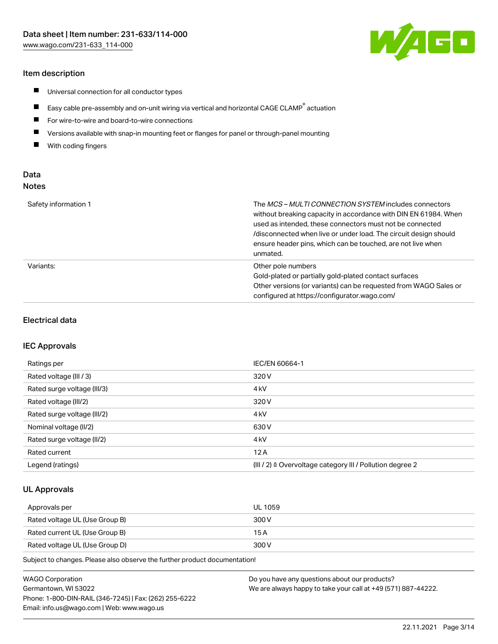#### Item description

- $\blacksquare$ Universal connection for all conductor types
- $\blacksquare$ Easy cable pre-assembly and on-unit wiring via vertical and horizontal CAGE CLAMP<sup>®</sup> actuation
- $\blacksquare$ For wire-to-wire and board-to-wire connections
- $\blacksquare$ Versions available with snap-in mounting feet or flanges for panel or through-panel mounting
- $\blacksquare$ With coding fingers

## Data Notes

| Safety information 1 | The <i>MCS – MULTI CONNECTION SYSTEM</i> includes connectors<br>without breaking capacity in accordance with DIN EN 61984. When<br>used as intended, these connectors must not be connected<br>/disconnected when live or under load. The circuit design should<br>ensure header pins, which can be touched, are not live when<br>unmated. |
|----------------------|--------------------------------------------------------------------------------------------------------------------------------------------------------------------------------------------------------------------------------------------------------------------------------------------------------------------------------------------|
| Variants:            | Other pole numbers<br>Gold-plated or partially gold-plated contact surfaces<br>Other versions (or variants) can be requested from WAGO Sales or<br>configured at https://configurator.wago.com/                                                                                                                                            |

#### Electrical data

#### IEC Approvals

| Ratings per                 | IEC/EN 60664-1                                                        |
|-----------------------------|-----------------------------------------------------------------------|
| Rated voltage (III / 3)     | 320 V                                                                 |
| Rated surge voltage (III/3) | 4 <sub>k</sub> V                                                      |
| Rated voltage (III/2)       | 320 V                                                                 |
| Rated surge voltage (III/2) | 4 <sub>k</sub> V                                                      |
| Nominal voltage (II/2)      | 630 V                                                                 |
| Rated surge voltage (II/2)  | 4 <sub>kV</sub>                                                       |
| Rated current               | 12A                                                                   |
| Legend (ratings)            | $(III / 2)$ $\triangle$ Overvoltage category III / Pollution degree 2 |

#### UL Approvals

| Approvals per                  | UL 1059 |
|--------------------------------|---------|
| Rated voltage UL (Use Group B) | 300 V   |
| Rated current UL (Use Group B) | 15 A    |
| Rated voltage UL (Use Group D) | 300 V   |

Subject to changes. Please also observe the further product documentation!

| WAGO Corporation                                       | Do you have any questions about our products?                 |
|--------------------------------------------------------|---------------------------------------------------------------|
| Germantown, WI 53022                                   | We are always happy to take your call at +49 (571) 887-44222. |
| Phone: 1-800-DIN-RAIL (346-7245)   Fax: (262) 255-6222 |                                                               |
| Email: info.us@wago.com   Web: www.wago.us             |                                                               |

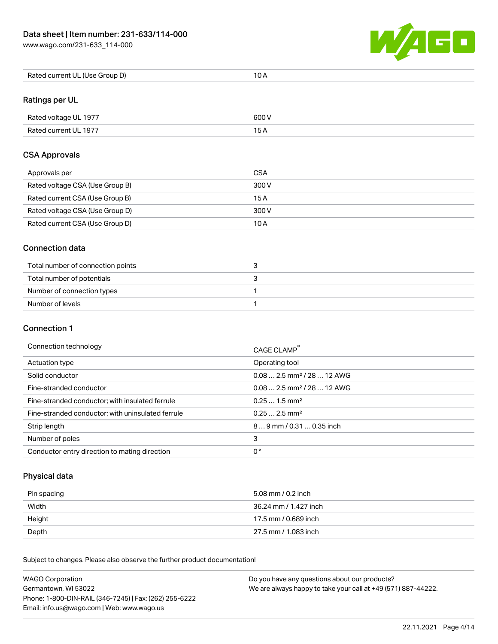

| Rated current UL (Use Group D) | 10 A |
|--------------------------------|------|
|--------------------------------|------|

## Ratings per UL

| Rated voltage UL 1977 | 600 V |
|-----------------------|-------|
| Rated current UL 1977 |       |

#### CSA Approvals

| Approvals per                   | CSA   |
|---------------------------------|-------|
| Rated voltage CSA (Use Group B) | 300 V |
| Rated current CSA (Use Group B) | 15 A  |
| Rated voltage CSA (Use Group D) | 300 V |
| Rated current CSA (Use Group D) | 10 A  |

#### Connection data

| Total number of connection points |  |
|-----------------------------------|--|
| Total number of potentials        |  |
| Number of connection types        |  |
| Number of levels                  |  |

#### Connection 1

#### Connection technology CAGE CLAMP®

|                                                   | CAGE CLAMP                             |
|---------------------------------------------------|----------------------------------------|
| Actuation type                                    | Operating tool                         |
| Solid conductor                                   | $0.082.5$ mm <sup>2</sup> / 28  12 AWG |
| Fine-stranded conductor                           | $0.082.5$ mm <sup>2</sup> / 28  12 AWG |
| Fine-stranded conductor; with insulated ferrule   | $0.251.5$ mm <sup>2</sup>              |
| Fine-stranded conductor; with uninsulated ferrule | $0.252.5$ mm <sup>2</sup>              |
| Strip length                                      | $89$ mm / 0.31  0.35 inch              |
| Number of poles                                   | 3                                      |
| Conductor entry direction to mating direction     | 0°                                     |

## Physical data

| Pin spacing | 5.08 mm / 0.2 inch    |
|-------------|-----------------------|
| Width       | 36.24 mm / 1.427 inch |
| Height      | 17.5 mm / 0.689 inch  |
| Depth       | 27.5 mm / 1.083 inch  |

Subject to changes. Please also observe the further product documentation! Mechanical data

| <b>WAGO Corporation</b>                                | Do you have any questions about our products?                 |
|--------------------------------------------------------|---------------------------------------------------------------|
| Germantown, WI 53022                                   | We are always happy to take your call at +49 (571) 887-44222. |
| Phone: 1-800-DIN-RAIL (346-7245)   Fax: (262) 255-6222 |                                                               |
| Email: info.us@wago.com   Web: www.wago.us             |                                                               |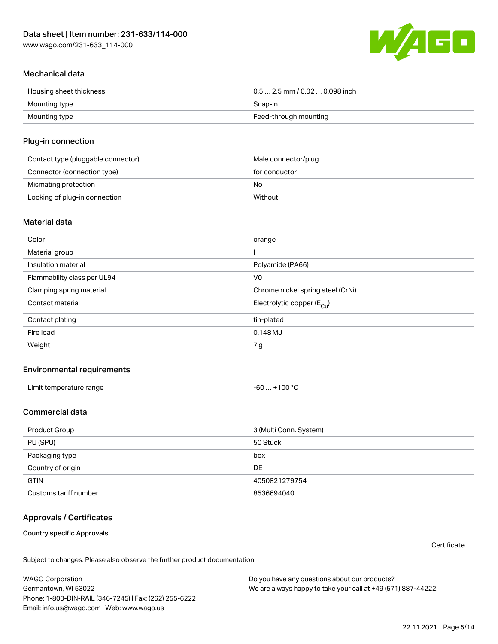

## Mechanical data

| Housing sheet thickness | $0.5$ 2.5 mm / 0.02  0.098 inch |
|-------------------------|---------------------------------|
| Mounting type           | Snap-in                         |
| Mounting type           | Feed-through mounting           |

#### Plug-in connection

| Contact type (pluggable connector) | Male connector/plug |
|------------------------------------|---------------------|
| Connector (connection type)        | for conductor       |
| Mismating protection               | No.                 |
| Locking of plug-in connection      | Without             |

#### Material data

| Color                       | orange                                |
|-----------------------------|---------------------------------------|
| Material group              |                                       |
| Insulation material         | Polyamide (PA66)                      |
| Flammability class per UL94 | V <sub>0</sub>                        |
| Clamping spring material    | Chrome nickel spring steel (CrNi)     |
| Contact material            | Electrolytic copper $(E_{\text{Cl}})$ |
| Contact plating             | tin-plated                            |
| Fire load                   | 0.148 MJ                              |
| Weight                      | 7g                                    |

### Environmental requirements

| Limit temperature range<br>the contract of the contract of the contract of the contract of the contract of the contract of the contract of | .+100 °C<br>-60 |  |
|--------------------------------------------------------------------------------------------------------------------------------------------|-----------------|--|
|--------------------------------------------------------------------------------------------------------------------------------------------|-----------------|--|

## Commercial data

| Product Group         | 3 (Multi Conn. System) |
|-----------------------|------------------------|
| PU (SPU)              | 50 Stück               |
| Packaging type        | box                    |
| Country of origin     | DE                     |
| <b>GTIN</b>           | 4050821279754          |
| Customs tariff number | 8536694040             |

## Approvals / Certificates

Country specific Approvals

**Certificate** 

Subject to changes. Please also observe the further product documentation!

WAGO Corporation Germantown, WI 53022 Phone: 1-800-DIN-RAIL (346-7245) | Fax: (262) 255-6222 Email: info.us@wago.com | Web: www.wago.us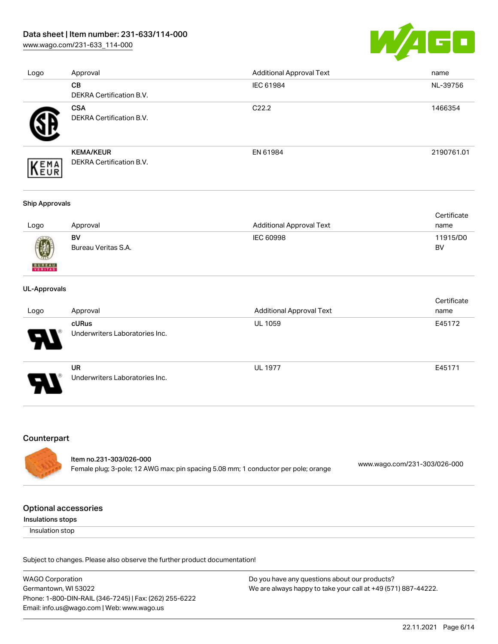## Data sheet | Item number: 231-633/114-000

[www.wago.com/231-633\\_114-000](http://www.wago.com/231-633_114-000)



| Logo | Approval                        | <b>Additional Approval Text</b> | name       |
|------|---------------------------------|---------------------------------|------------|
|      | <b>CB</b>                       | IEC 61984                       | NL-39756   |
|      | DEKRA Certification B.V.        |                                 |            |
|      | <b>CSA</b>                      | C <sub>22.2</sub>               | 1466354    |
|      | DEKRA Certification B.V.        |                                 |            |
|      | <b>KEMA/KEUR</b>                | EN 61984                        | 2190761.01 |
| EMA  | <b>DEKRA Certification B.V.</b> |                                 |            |

#### Ship Approvals

|      |                     |                          | Certificate |
|------|---------------------|--------------------------|-------------|
| Logo | Approval            | Additional Approval Text | name        |
|      | BV                  | IEC 60998                | 11915/D0    |
| 0    | Bureau Veritas S.A. |                          | BV          |

#### UL-Approvals

**BUREAU** 

|                            |                                             |                                 | Certificate |
|----------------------------|---------------------------------------------|---------------------------------|-------------|
| Logo                       | Approval                                    | <b>Additional Approval Text</b> | name        |
| $\boldsymbol{\mathcal{A}}$ | cURus<br>Underwriters Laboratories Inc.     | <b>UL 1059</b>                  | E45172      |
| J                          | <b>UR</b><br>Underwriters Laboratories Inc. | <b>UL 1977</b>                  | E45171      |

#### Counterpart

| ltem no.231-303/026-000                                                            |                              |
|------------------------------------------------------------------------------------|------------------------------|
| Female plug; 3-pole; 12 AWG max; pin spacing 5.08 mm; 1 conductor per pole; orange | www.wago.com/231-303/026-000 |

#### Optional accessories

Insulations stops

Insulation stop

Subject to changes. Please also observe the further product documentation!

WAGO Corporation Germantown, WI 53022 Phone: 1-800-DIN-RAIL (346-7245) | Fax: (262) 255-6222 Email: info.us@wago.com | Web: www.wago.us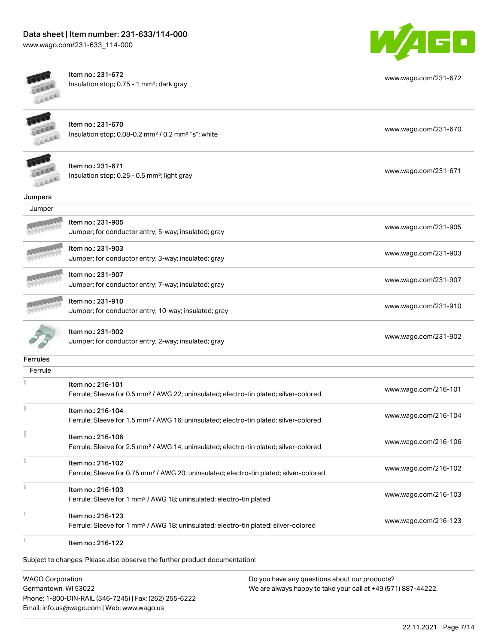# Data sheet | Item number: 231-633/114-000

[www.wago.com/231-633\\_114-000](http://www.wago.com/231-633_114-000)



| ici      | Item no.: 231-672<br>Insulation stop; 0.75 - 1 mm <sup>2</sup> ; dark gray                                              | www.wago.com/231-672 |
|----------|-------------------------------------------------------------------------------------------------------------------------|----------------------|
|          | Item no.: 231-670<br>Insulation stop; 0.08-0.2 mm <sup>2</sup> / 0.2 mm <sup>2</sup> "s"; white                         | www.wago.com/231-670 |
|          | Item no.: 231-671<br>Insulation stop; 0.25 - 0.5 mm <sup>2</sup> ; light gray                                           | www.wago.com/231-671 |
| Jumpers  |                                                                                                                         |                      |
| Jumper   |                                                                                                                         |                      |
|          | Item no.: 231-905<br>Jumper; for conductor entry; 5-way; insulated; gray                                                | www.wago.com/231-905 |
|          | Item no.: 231-903<br>Jumper; for conductor entry; 3-way; insulated; gray                                                | www.wago.com/231-903 |
|          | Item no.: 231-907<br>Jumper; for conductor entry; 7-way; insulated; gray                                                | www.wago.com/231-907 |
|          | Item no.: 231-910<br>Jumper; for conductor entry; 10-way; insulated; gray                                               | www.wago.com/231-910 |
|          | Item no.: 231-902<br>Jumper; for conductor entry; 2-way; insulated; gray                                                | www.wago.com/231-902 |
| Ferrules |                                                                                                                         |                      |
| Ferrule  |                                                                                                                         |                      |
|          | Item no.: 216-101<br>Ferrule; Sleeve for 0.5 mm <sup>2</sup> / AWG 22; uninsulated; electro-tin plated; silver-colored  | www.wago.com/216-101 |
|          | Item no.: 216-104<br>Ferrule; Sleeve for 1.5 mm <sup>2</sup> / AWG 16; uninsulated; electro-tin plated; silver-colored  | www.wago.com/216-104 |
|          | Item no.: 216-106<br>Ferrule; Sleeve for 2.5 mm <sup>2</sup> / AWG 14; uninsulated; electro-tin plated; silver-colored  | www.wago.com/216-106 |
|          | Item no.: 216-102<br>Ferrule; Sleeve for 0.75 mm <sup>2</sup> / AWG 20; uninsulated; electro-tin plated; silver-colored | www.wago.com/216-102 |
|          | Item no.: 216-103<br>Ferrule; Sleeve for 1 mm <sup>2</sup> / AWG 18; uninsulated; electro-tin plated                    | www.wago.com/216-103 |
|          | Item no.: 216-123<br>Ferrule; Sleeve for 1 mm <sup>2</sup> / AWG 18; uninsulated; electro-tin plated; silver-colored    | www.wago.com/216-123 |
|          | Item no.: 216-122                                                                                                       |                      |

WAGO Corporation Germantown, WI 53022 Phone: 1-800-DIN-RAIL (346-7245) | Fax: (262) 255-6222 Email: info.us@wago.com | Web: www.wago.us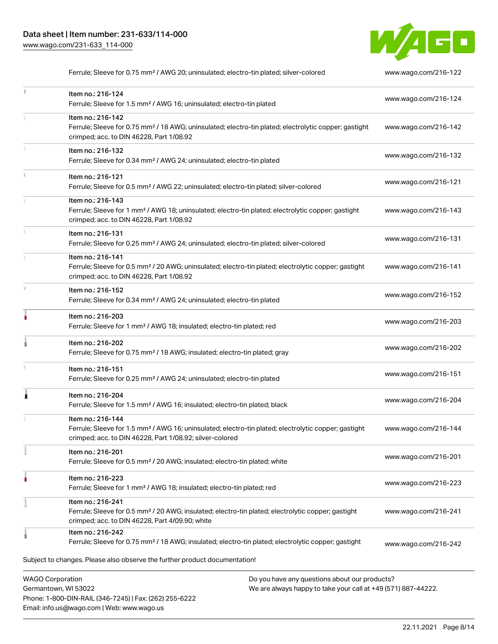Phone: 1-800-DIN-RAIL (346-7245) | Fax: (262) 255-6222

Email: info.us@wago.com | Web: www.wago.us



Ferrule; Sleeve for 0.75 mm² / AWG 20; uninsulated; electro-tin plated; silver-colored [www.wago.com/216-122](http://www.wago.com/216-122)

|                                                 | Item no.: 216-124<br>Ferrule; Sleeve for 1.5 mm <sup>2</sup> / AWG 16; uninsulated; electro-tin plated                                                                                            |                                                                                                                | www.wago.com/216-124 |
|-------------------------------------------------|---------------------------------------------------------------------------------------------------------------------------------------------------------------------------------------------------|----------------------------------------------------------------------------------------------------------------|----------------------|
|                                                 | Item no.: 216-142<br>Ferrule; Sleeve for 0.75 mm <sup>2</sup> / 18 AWG; uninsulated; electro-tin plated; electrolytic copper; gastight<br>crimped; acc. to DIN 46228, Part 1/08.92                |                                                                                                                | www.wago.com/216-142 |
|                                                 | Item no.: 216-132<br>Ferrule; Sleeve for 0.34 mm <sup>2</sup> / AWG 24; uninsulated; electro-tin plated                                                                                           |                                                                                                                | www.wago.com/216-132 |
|                                                 | Item no.: 216-121<br>Ferrule; Sleeve for 0.5 mm <sup>2</sup> / AWG 22; uninsulated; electro-tin plated; silver-colored                                                                            |                                                                                                                | www.wago.com/216-121 |
|                                                 | Item no.: 216-143<br>Ferrule; Sleeve for 1 mm <sup>2</sup> / AWG 18; uninsulated; electro-tin plated; electrolytic copper; gastight<br>crimped; acc. to DIN 46228, Part 1/08.92                   |                                                                                                                | www.wago.com/216-143 |
|                                                 | Item no.: 216-131<br>Ferrule; Sleeve for 0.25 mm <sup>2</sup> / AWG 24; uninsulated; electro-tin plated; silver-colored                                                                           |                                                                                                                | www.wago.com/216-131 |
|                                                 | Item no.: 216-141<br>Ferrule; Sleeve for 0.5 mm <sup>2</sup> / 20 AWG; uninsulated; electro-tin plated; electrolytic copper; gastight<br>crimped; acc. to DIN 46228, Part 1/08.92                 |                                                                                                                | www.wago.com/216-141 |
|                                                 | Item no.: 216-152<br>Ferrule; Sleeve for 0.34 mm <sup>2</sup> / AWG 24; uninsulated; electro-tin plated                                                                                           |                                                                                                                | www.wago.com/216-152 |
|                                                 | Item no.: 216-203<br>Ferrule; Sleeve for 1 mm <sup>2</sup> / AWG 18; insulated; electro-tin plated; red                                                                                           |                                                                                                                | www.wago.com/216-203 |
|                                                 | Item no.: 216-202<br>Ferrule; Sleeve for 0.75 mm <sup>2</sup> / 18 AWG; insulated; electro-tin plated; gray                                                                                       |                                                                                                                | www.wago.com/216-202 |
|                                                 | Item no.: 216-151<br>Ferrule; Sleeve for 0.25 mm <sup>2</sup> / AWG 24; uninsulated; electro-tin plated                                                                                           |                                                                                                                | www.wago.com/216-151 |
| ٨                                               | Item no.: 216-204<br>Ferrule; Sleeve for 1.5 mm <sup>2</sup> / AWG 16; insulated; electro-tin plated; black                                                                                       |                                                                                                                | www.wago.com/216-204 |
|                                                 | Item no.: 216-144<br>Ferrule; Sleeve for 1.5 mm <sup>2</sup> / AWG 16; uninsulated; electro-tin plated; electrolytic copper; gastight<br>crimped; acc. to DIN 46228, Part 1/08.92; silver-colored |                                                                                                                | www.wago.com/216-144 |
|                                                 | Item no.: 216-201<br>Ferrule; Sleeve for 0.5 mm <sup>2</sup> / 20 AWG; insulated; electro-tin plated; white                                                                                       |                                                                                                                | www.wago.com/216-201 |
|                                                 | Item no.: 216-223<br>Ferrule; Sleeve for 1 mm <sup>2</sup> / AWG 18; insulated; electro-tin plated; red                                                                                           |                                                                                                                | www.wago.com/216-223 |
|                                                 | Item no.: 216-241<br>Ferrule; Sleeve for 0.5 mm <sup>2</sup> / 20 AWG; insulated; electro-tin plated; electrolytic copper; gastight<br>crimped; acc. to DIN 46228, Part 4/09.90; white            |                                                                                                                | www.wago.com/216-241 |
|                                                 | Item no.: 216-242<br>Ferrule; Sleeve for 0.75 mm <sup>2</sup> / 18 AWG; insulated; electro-tin plated; electrolytic copper; gastight                                                              |                                                                                                                | www.wago.com/216-242 |
|                                                 | Subject to changes. Please also observe the further product documentation!                                                                                                                        |                                                                                                                |                      |
| <b>WAGO Corporation</b><br>Germantown, WI 53022 |                                                                                                                                                                                                   | Do you have any questions about our products?<br>We are always happy to take your call at +49 (571) 887-44222. |                      |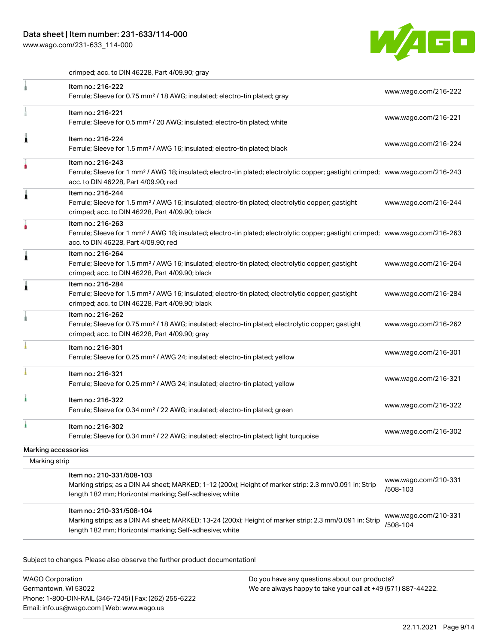

crimped; acc. to DIN 46228, Part 4/09.90; gray

|                     | Item no.: 216-222<br>Ferrule; Sleeve for 0.75 mm <sup>2</sup> / 18 AWG; insulated; electro-tin plated; gray                                                                                             | www.wago.com/216-222             |
|---------------------|---------------------------------------------------------------------------------------------------------------------------------------------------------------------------------------------------------|----------------------------------|
|                     | Item no.: 216-221<br>Ferrule; Sleeve for 0.5 mm <sup>2</sup> / 20 AWG; insulated; electro-tin plated; white                                                                                             | www.wago.com/216-221             |
|                     | Item no.: 216-224<br>Ferrule; Sleeve for 1.5 mm <sup>2</sup> / AWG 16; insulated; electro-tin plated; black                                                                                             | www.wago.com/216-224             |
|                     | Item no.: 216-243<br>Ferrule; Sleeve for 1 mm <sup>2</sup> / AWG 18; insulated; electro-tin plated; electrolytic copper; gastight crimped; www.wago.com/216-243<br>acc. to DIN 46228, Part 4/09.90; red |                                  |
|                     | Item no.: 216-244<br>Ferrule; Sleeve for 1.5 mm <sup>2</sup> / AWG 16; insulated; electro-tin plated; electrolytic copper; gastight<br>crimped; acc. to DIN 46228, Part 4/09.90; black                  | www.wago.com/216-244             |
|                     | Item no.: 216-263<br>Ferrule; Sleeve for 1 mm <sup>2</sup> / AWG 18; insulated; electro-tin plated; electrolytic copper; gastight crimped; www.wago.com/216-263<br>acc. to DIN 46228, Part 4/09.90; red |                                  |
|                     | Item no.: 216-264<br>Ferrule; Sleeve for 1.5 mm <sup>2</sup> / AWG 16; insulated; electro-tin plated; electrolytic copper; gastight<br>crimped; acc. to DIN 46228, Part 4/09.90; black                  | www.wago.com/216-264             |
|                     | Item no.: 216-284<br>Ferrule; Sleeve for 1.5 mm <sup>2</sup> / AWG 16; insulated; electro-tin plated; electrolytic copper; gastight<br>crimped; acc. to DIN 46228, Part 4/09.90; black                  | www.wago.com/216-284             |
|                     | Item no.: 216-262<br>Ferrule; Sleeve for 0.75 mm <sup>2</sup> / 18 AWG; insulated; electro-tin plated; electrolytic copper; gastight<br>crimped; acc. to DIN 46228, Part 4/09.90; gray                  | www.wago.com/216-262             |
|                     | Item no.: 216-301<br>Ferrule; Sleeve for 0.25 mm <sup>2</sup> / AWG 24; insulated; electro-tin plated; yellow                                                                                           | www.wago.com/216-301             |
|                     | Item no.: 216-321<br>Ferrule; Sleeve for 0.25 mm <sup>2</sup> / AWG 24; insulated; electro-tin plated; yellow                                                                                           | www.wago.com/216-321             |
|                     | Item no.: 216-322<br>Ferrule; Sleeve for 0.34 mm <sup>2</sup> / 22 AWG; insulated; electro-tin plated; green                                                                                            | www.wago.com/216-322             |
|                     | Item no.: 216-302<br>Ferrule; Sleeve for 0.34 mm <sup>2</sup> / 22 AWG; insulated; electro-tin plated; light turquoise                                                                                  | www.wago.com/216-302             |
| Marking accessories |                                                                                                                                                                                                         |                                  |
| Marking strip       |                                                                                                                                                                                                         |                                  |
|                     | Item no.: 210-331/508-103<br>Marking strips; as a DIN A4 sheet; MARKED; 1-12 (200x); Height of marker strip: 2.3 mm/0.091 in; Strip<br>length 182 mm; Horizontal marking; Self-adhesive; white          | www.wago.com/210-331<br>/508-103 |
|                     | Item no.: 210-331/508-104<br>Marking strips; as a DIN A4 sheet; MARKED; 13-24 (200x); Height of marker strip: 2.3 mm/0.091 in; Strip<br>length 182 mm; Horizontal marking; Self-adhesive; white         | www.wago.com/210-331<br>/508-104 |

Subject to changes. Please also observe the further product documentation!

WAGO Corporation Germantown, WI 53022 Phone: 1-800-DIN-RAIL (346-7245) | Fax: (262) 255-6222 Email: info.us@wago.com | Web: www.wago.us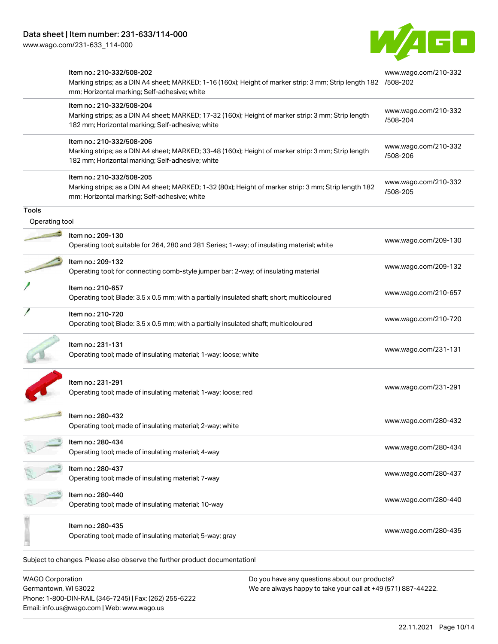Germantown, WI 53022

Phone: 1-800-DIN-RAIL (346-7245) | Fax: (262) 255-6222

Email: info.us@wago.com | Web: www.wago.us



| <b>WAGO Corporation</b> | Do you have any questions about our products?                                                                                                                                                |                                  |
|-------------------------|----------------------------------------------------------------------------------------------------------------------------------------------------------------------------------------------|----------------------------------|
|                         | Subject to changes. Please also observe the further product documentation!                                                                                                                   |                                  |
|                         | Item no.: 280-435<br>Operating tool; made of insulating material; 5-way; gray                                                                                                                | www.wago.com/280-435             |
|                         | Item no.: 280-440<br>Operating tool; made of insulating material; 10-way                                                                                                                     | www.wago.com/280-440             |
|                         | Item no.: 280-437<br>Operating tool; made of insulating material; 7-way                                                                                                                      | www.wago.com/280-437             |
|                         | ltem no.: 280-434<br>Operating tool; made of insulating material; 4-way                                                                                                                      | www.wago.com/280-434             |
|                         | Item no.: 280-432<br>Operating tool; made of insulating material; 2-way; white                                                                                                               | www.wago.com/280-432             |
|                         | Item no.: 231-291<br>Operating tool; made of insulating material; 1-way; loose; red                                                                                                          | www.wago.com/231-291             |
|                         | Item no.: 231-131<br>Operating tool; made of insulating material; 1-way; loose; white                                                                                                        | www.wago.com/231-131             |
|                         | Item no.: 210-720<br>Operating tool; Blade: 3.5 x 0.5 mm; with a partially insulated shaft; multicoloured                                                                                    | www.wago.com/210-720             |
|                         | Item no.: 210-657<br>Operating tool; Blade: 3.5 x 0.5 mm; with a partially insulated shaft; short; multicoloured                                                                             | www.wago.com/210-657             |
|                         | Item no.: 209-132<br>Operating tool; for connecting comb-style jumper bar; 2-way; of insulating material                                                                                     | www.wago.com/209-132             |
|                         | Item no.: 209-130<br>Operating tool; suitable for 264, 280 and 281 Series; 1-way; of insulating material; white                                                                              | www.wago.com/209-130             |
| Operating tool          |                                                                                                                                                                                              |                                  |
| <b>Tools</b>            | mm; Horizontal marking; Self-adhesive; white                                                                                                                                                 |                                  |
|                         | Item no.: 210-332/508-205<br>Marking strips; as a DIN A4 sheet; MARKED; 1-32 (80x); Height of marker strip: 3 mm; Strip length 182                                                           | www.wago.com/210-332<br>/508-205 |
|                         | Item no.: 210-332/508-206<br>Marking strips; as a DIN A4 sheet; MARKED; 33-48 (160x); Height of marker strip: 3 mm; Strip length<br>182 mm; Horizontal marking; Self-adhesive; white         | www.wago.com/210-332<br>/508-206 |
|                         | Item no.: 210-332/508-204<br>Marking strips; as a DIN A4 sheet; MARKED; 17-32 (160x); Height of marker strip: 3 mm; Strip length<br>182 mm; Horizontal marking; Self-adhesive; white         | www.wago.com/210-332<br>/508-204 |
|                         | Item no.: 210-332/508-202<br>Marking strips; as a DIN A4 sheet; MARKED; 1-16 (160x); Height of marker strip: 3 mm; Strip length 182 /508-202<br>mm; Horizontal marking; Self-adhesive; white | www.wago.com/210-332             |

22.11.2021 Page 10/14

We are always happy to take your call at +49 (571) 887-44222.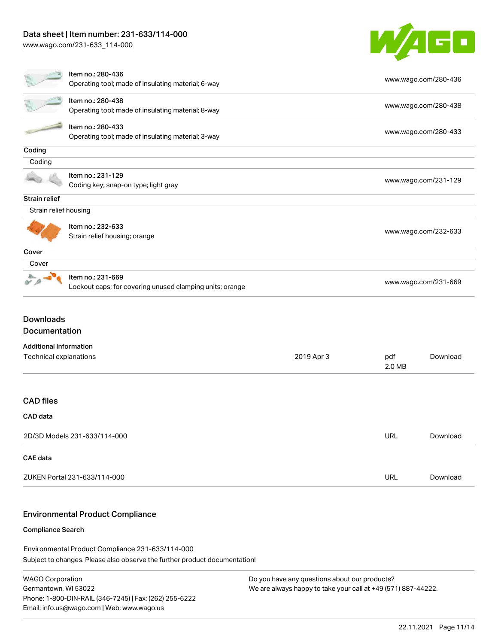## Data sheet | Item number: 231-633/114-000

[www.wago.com/231-633\\_114-000](http://www.wago.com/231-633_114-000)



| Item no.: 280-436<br>Operating tool; made of insulating material; 6-way |                                                                               |               | www.wago.com/280-436 |                      |  |
|-------------------------------------------------------------------------|-------------------------------------------------------------------------------|---------------|----------------------|----------------------|--|
|                                                                         | Item no.: 280-438<br>Operating tool; made of insulating material; 8-way       |               |                      | www.wago.com/280-438 |  |
|                                                                         | Item no.: 280-433<br>Operating tool; made of insulating material; 3-way       |               | www.wago.com/280-433 |                      |  |
| Coding                                                                  |                                                                               |               |                      |                      |  |
| Coding                                                                  |                                                                               |               |                      |                      |  |
|                                                                         | Item no.: 231-129<br>Coding key; snap-on type; light gray                     |               | www.wago.com/231-129 |                      |  |
| Strain relief                                                           |                                                                               |               |                      |                      |  |
| Strain relief housing                                                   |                                                                               |               |                      |                      |  |
|                                                                         | Item no.: 232-633<br>Strain relief housing; orange                            |               | www.wago.com/232-633 |                      |  |
| Cover                                                                   |                                                                               |               |                      |                      |  |
| Cover                                                                   |                                                                               |               |                      |                      |  |
|                                                                         | Item no.: 231-669<br>Lockout caps; for covering unused clamping units; orange |               | www.wago.com/231-669 |                      |  |
| <b>Downloads</b><br>Documentation                                       |                                                                               |               |                      |                      |  |
|                                                                         |                                                                               |               |                      |                      |  |
| <b>Additional Information</b><br>Technical explanations<br>2019 Apr 3   |                                                                               | pdf<br>2.0 MB | Download             |                      |  |
| <b>CAD files</b>                                                        |                                                                               |               |                      |                      |  |
| CAD data                                                                |                                                                               |               |                      |                      |  |
| 2D/3D Models 231-633/114-000                                            |                                                                               |               | URL                  | Download             |  |
| CAE data                                                                |                                                                               |               |                      |                      |  |
| ZUKEN Portal 231-633/114-000                                            |                                                                               |               | URL                  | Download             |  |

## Environmental Product Compliance

#### Compliance Search

Subject to changes. Please also observe the further product documentation! Environmental Product Compliance 231-633/114-000

WAGO Corporation Germantown, WI 53022 Phone: 1-800-DIN-RAIL (346-7245) | Fax: (262) 255-6222 Email: info.us@wago.com | Web: www.wago.us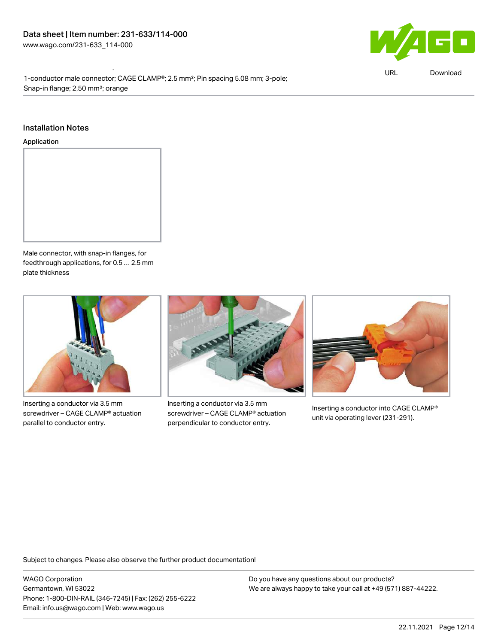Environmental Product Compliance 231-633/114-000 1-conductor male connector; CAGE CLAMP®; 2.5 mm²; Pin spacing 5.08 mm; 3-pole; Snap-in flange; 2,50 mm²; orange

#### Installation Notes

#### Application



Male connector, with snap-in flanges, for feedthrough applications, for 0.5 … 2.5 mm plate thickness



Inserting a conductor via 3.5 mm screwdriver – CAGE CLAMP® actuation parallel to conductor entry.



Inserting a conductor via 3.5 mm screwdriver – CAGE CLAMP® actuation perpendicular to conductor entry.



Inserting a conductor into CAGE CLAMP® unit via operating lever (231-291).

Subject to changes. Please also observe the further product documentation!

WAGO Corporation Germantown, WI 53022 Phone: 1-800-DIN-RAIL (346-7245) | Fax: (262) 255-6222 Email: info.us@wago.com | Web: www.wago.us



URL [Download](https://www.wago.com/global/d/ComplianceLinkMediaContainer_231-633_114-000)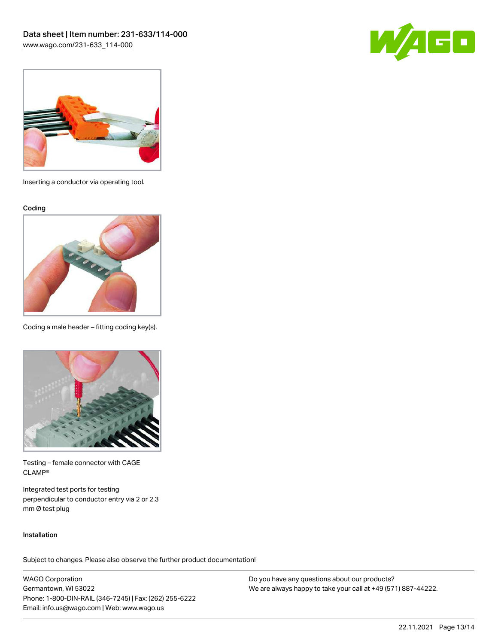



Inserting a conductor via operating tool.

Coding



Coding a male header – fitting coding key(s).



Testing – female connector with CAGE CLAMP®

Integrated test ports for testing perpendicular to conductor entry via 2 or 2.3 mm Ø test plug

#### Installation

Subject to changes. Please also observe the further product documentation!

WAGO Corporation Germantown, WI 53022 Phone: 1-800-DIN-RAIL (346-7245) | Fax: (262) 255-6222 Email: info.us@wago.com | Web: www.wago.us